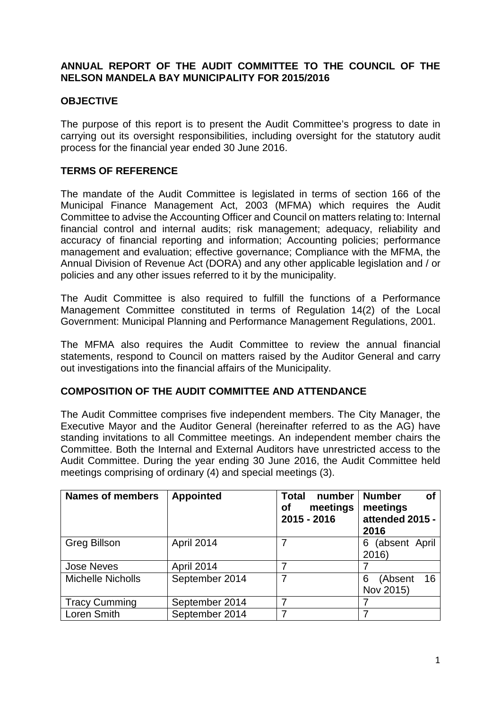#### **ANNUAL REPORT OF THE AUDIT COMMITTEE TO THE COUNCIL OF THE NELSON MANDELA BAY MUNICIPALITY FOR 2015/2016**

### **OBJECTIVE**

The purpose of this report is to present the Audit Committee's progress to date in carrying out its oversight responsibilities, including oversight for the statutory audit process for the financial year ended 30 June 2016.

#### **TERMS OF REFERENCE**

The mandate of the Audit Committee is legislated in terms of section 166 of the Municipal Finance Management Act, 2003 (MFMA) which requires the Audit Committee to advise the Accounting Officer and Council on matters relating to: Internal financial control and internal audits; risk management; adequacy, reliability and accuracy of financial reporting and information; Accounting policies; performance management and evaluation; effective governance; Compliance with the MFMA, the Annual Division of Revenue Act (DORA) and any other applicable legislation and / or policies and any other issues referred to it by the municipality.

The Audit Committee is also required to fulfill the functions of a Performance Management Committee constituted in terms of Regulation 14(2) of the Local Government: Municipal Planning and Performance Management Regulations, 2001.

The MFMA also requires the Audit Committee to review the annual financial statements, respond to Council on matters raised by the Auditor General and carry out investigations into the financial affairs of the Municipality.

#### **COMPOSITION OF THE AUDIT COMMITTEE AND ATTENDANCE**

The Audit Committee comprises five independent members. The City Manager, the Executive Mayor and the Auditor General (hereinafter referred to as the AG) have standing invitations to all Committee meetings. An independent member chairs the Committee. Both the Internal and External Auditors have unrestricted access to the Audit Committee. During the year ending 30 June 2016, the Audit Committee held meetings comprising of ordinary (4) and special meetings (3).

| <b>Names of members</b>  | <b>Appointed</b> | number<br><b>Total</b><br>meetings<br><b>of</b><br>2015 - 2016 | <b>Number</b><br><b>of</b><br>meetings<br>attended 2015 -<br>2016 |
|--------------------------|------------------|----------------------------------------------------------------|-------------------------------------------------------------------|
| <b>Greg Billson</b>      | April 2014       |                                                                | (absent April<br>6<br>2016)                                       |
| <b>Jose Neves</b>        | April 2014       |                                                                |                                                                   |
| <b>Michelle Nicholls</b> | September 2014   |                                                                | 16<br>(Absent<br>6<br>Nov 2015)                                   |
| <b>Tracy Cumming</b>     | September 2014   |                                                                |                                                                   |
| Loren Smith              | September 2014   |                                                                |                                                                   |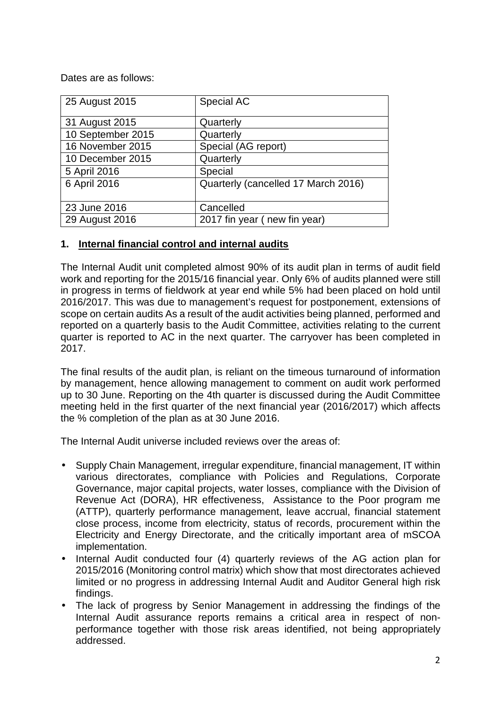Dates are as follows:

| 25 August 2015                                 | Special AC                          |
|------------------------------------------------|-------------------------------------|
| 31 August 2015                                 | Quarterly                           |
| 10 September 2015                              | Quarterly                           |
| 16 November 2015                               | Special (AG report)                 |
| 10 December 2015                               | Quarterly                           |
| 5 April 2016                                   | Special                             |
| 6 April 2016                                   | Quarterly (cancelled 17 March 2016) |
| 23 June 2016                                   | Cancelled                           |
| 2017 fin year (new fin year)<br>29 August 2016 |                                     |

#### **1. Internal financial control and internal audits**

The Internal Audit unit completed almost 90% of its audit plan in terms of audit field work and reporting for the 2015/16 financial year. Only 6% of audits planned were still in progress in terms of fieldwork at year end while 5% had been placed on hold until 2016/2017. This was due to management's request for postponement, extensions of scope on certain audits As a result of the audit activities being planned, performed and reported on a quarterly basis to the Audit Committee, activities relating to the current quarter is reported to AC in the next quarter. The carryover has been completed in 2017.

The final results of the audit plan, is reliant on the timeous turnaround of information by management, hence allowing management to comment on audit work performed up to 30 June. Reporting on the 4th quarter is discussed during the Audit Committee meeting held in the first quarter of the next financial year (2016/2017) which affects the % completion of the plan as at 30 June 2016.

The Internal Audit universe included reviews over the areas of:

- Supply Chain Management, irregular expenditure, financial management, IT within various directorates, compliance with Policies and Regulations, Corporate Governance, major capital projects, water losses, compliance with the Division of Revenue Act (DORA), HR effectiveness, Assistance to the Poor program me (ATTP), quarterly performance management, leave accrual, financial statement close process, income from electricity, status of records, procurement within the Electricity and Energy Directorate, and the critically important area of mSCOA implementation.
- Internal Audit conducted four (4) quarterly reviews of the AG action plan for 2015/2016 (Monitoring control matrix) which show that most directorates achieved limited or no progress in addressing Internal Audit and Auditor General high risk findings.
- The lack of progress by Senior Management in addressing the findings of the Internal Audit assurance reports remains a critical area in respect of nonperformance together with those risk areas identified, not being appropriately addressed.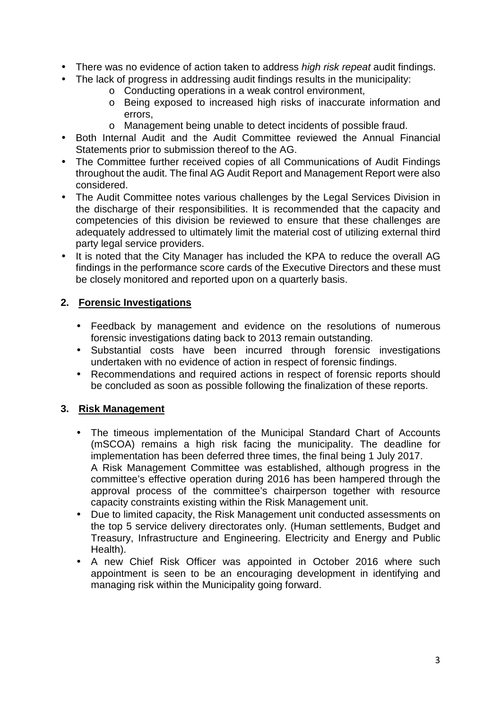- There was no evidence of action taken to address *high risk repeat* audit findings.
- The lack of progress in addressing audit findings results in the municipality:
	- o Conducting operations in a weak control environment,
	- o Being exposed to increased high risks of inaccurate information and errors,
	- o Management being unable to detect incidents of possible fraud.
- Both Internal Audit and the Audit Committee reviewed the Annual Financial Statements prior to submission thereof to the AG.
- The Committee further received copies of all Communications of Audit Findings throughout the audit. The final AG Audit Report and Management Report were also considered.
- The Audit Committee notes various challenges by the Legal Services Division in the discharge of their responsibilities. It is recommended that the capacity and competencies of this division be reviewed to ensure that these challenges are adequately addressed to ultimately limit the material cost of utilizing external third party legal service providers.
- It is noted that the City Manager has included the KPA to reduce the overall AG findings in the performance score cards of the Executive Directors and these must be closely monitored and reported upon on a quarterly basis.

# **2. Forensic Investigations**

- Feedback by management and evidence on the resolutions of numerous forensic investigations dating back to 2013 remain outstanding.
- Substantial costs have been incurred through forensic investigations undertaken with no evidence of action in respect of forensic findings.
- Recommendations and required actions in respect of forensic reports should be concluded as soon as possible following the finalization of these reports.

# **3. Risk Management**

- The timeous implementation of the Municipal Standard Chart of Accounts (mSCOA) remains a high risk facing the municipality. The deadline for implementation has been deferred three times, the final being 1 July 2017. A Risk Management Committee was established, although progress in the committee's effective operation during 2016 has been hampered through the approval process of the committee's chairperson together with resource capacity constraints existing within the Risk Management unit.
- Due to limited capacity, the Risk Management unit conducted assessments on the top 5 service delivery directorates only. (Human settlements, Budget and Treasury, Infrastructure and Engineering. Electricity and Energy and Public Health).
- A new Chief Risk Officer was appointed in October 2016 where such appointment is seen to be an encouraging development in identifying and managing risk within the Municipality going forward.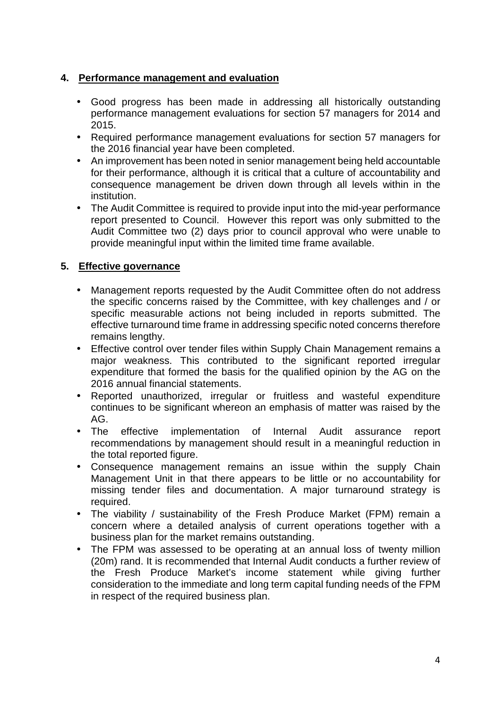### **4. Performance management and evaluation**

- Good progress has been made in addressing all historically outstanding performance management evaluations for section 57 managers for 2014 and 2015.
- Required performance management evaluations for section 57 managers for the 2016 financial year have been completed.
- An improvement has been noted in senior management being held accountable for their performance, although it is critical that a culture of accountability and consequence management be driven down through all levels within in the institution.
- The Audit Committee is required to provide input into the mid-year performance report presented to Council. However this report was only submitted to the Audit Committee two (2) days prior to council approval who were unable to provide meaningful input within the limited time frame available.

## **5. Effective governance**

- Management reports requested by the Audit Committee often do not address the specific concerns raised by the Committee, with key challenges and / or specific measurable actions not being included in reports submitted. The effective turnaround time frame in addressing specific noted concerns therefore remains lengthy.
- Effective control over tender files within Supply Chain Management remains a major weakness. This contributed to the significant reported irregular expenditure that formed the basis for the qualified opinion by the AG on the 2016 annual financial statements.
- Reported unauthorized, irregular or fruitless and wasteful expenditure continues to be significant whereon an emphasis of matter was raised by the AG.
- The effective implementation of Internal Audit assurance report recommendations by management should result in a meaningful reduction in the total reported figure.
- Consequence management remains an issue within the supply Chain Management Unit in that there appears to be little or no accountability for missing tender files and documentation. A major turnaround strategy is required.
- The viability / sustainability of the Fresh Produce Market (FPM) remain a concern where a detailed analysis of current operations together with a business plan for the market remains outstanding.
- The FPM was assessed to be operating at an annual loss of twenty million (20m) rand. It is recommended that Internal Audit conducts a further review of the Fresh Produce Market's income statement while giving further consideration to the immediate and long term capital funding needs of the FPM in respect of the required business plan.